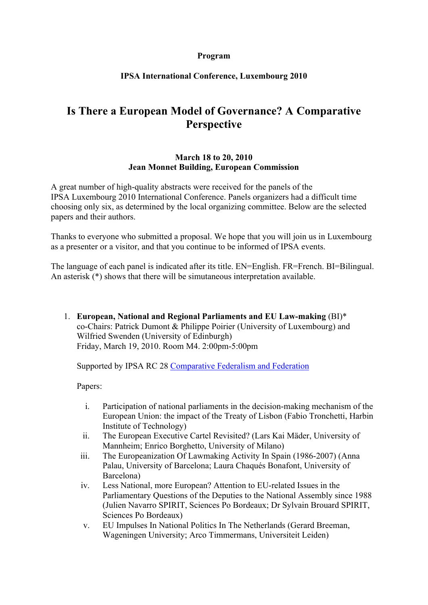## **Program**

## **IPSA International Conference, Luxembourg 2010**

# **Is There a European Model of Governance? A Comparative Perspective**

#### **March 18 to 20, 2010 Jean Monnet Building, European Commission**

A great number of high-quality abstracts were received for the panels of the IPSA Luxembourg 2010 International Conference. Panels organizers had a difficult time choosing only six, as determined by the local organizing committee. Below are the selected papers and their authors.

Thanks to everyone who submitted a proposal. We hope that you will join us in Luxembourg as a presenter or a visitor, and that you continue to be informed of IPSA events.

The language of each panel is indicated after its title. EN=English. FR=French. BI=Bilingual. An asterisk (\*) shows that there will be simutaneous interpretation available.

1. **European, National and Regional Parliaments and EU Law-making** (BI)\* co-Chairs: Patrick Dumont & Philippe Poirier (University of Luxembourg) and Wilfried Swenden (University of Edinburgh) Friday, March 19, 2010. Room M4. 2:00pm-5:00pm

Supported by IPSA RC 28 Comparative Federalism and Federation

- i. Participation of national parliaments in the decision-making mechanism of the European Union: the impact of the Treaty of Lisbon (Fabio Tronchetti, Harbin Institute of Technology)
- ii. The European Executive Cartel Revisited? (Lars Kai Mäder, University of Mannheim; Enrico Borghetto, University of Milano)
- iii. The Europeanization Of Lawmaking Activity In Spain (1986-2007) (Anna Palau, University of Barcelona; Laura Chaqués Bonafont, University of Barcelona)
- iv. Less National, more European? Attention to EU-related Issues in the Parliamentary Questions of the Deputies to the National Assembly since 1988 (Julien Navarro SPIRIT, Sciences Po Bordeaux; Dr Sylvain Brouard SPIRIT, Sciences Po Bordeaux)
- v. EU Impulses In National Politics In The Netherlands (Gerard Breeman, Wageningen University; Arco Timmermans, Universiteit Leiden)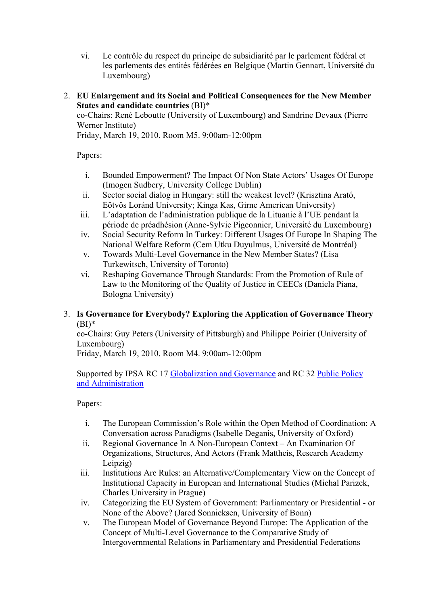- vi. Le contrôle du respect du principe de subsidiarité par le parlement fédéral et les parlements des entités fédérées en Belgique (Martin Gennart, Université du Luxembourg)
- 2. **EU Enlargement and its Social and Political Consequences for the New Member States and candidate countries** (BI)\*

co-Chairs: René Leboutte (University of Luxembourg) and Sandrine Devaux (Pierre Werner Institute)

Friday, March 19, 2010. Room M5. 9:00am-12:00pm

Papers:

- i. Bounded Empowerment? The Impact Of Non State Actors' Usages Of Europe (Imogen Sudbery, University College Dublin)
- ii. Sector social dialog in Hungary: still the weakest level? (Krisztina Arató, Eötvös Loránd University; Kinga Kas, Girne American University)
- iii. L'adaptation de l'administration publique de la Lituanie à l'UE pendant la période de préadhésion (Anne-Sylvie Pigeonnier, Université du Luxembourg)
- iv. Social Security Reform In Turkey: Different Usages Of Europe In Shaping The National Welfare Reform (Cem Utku Duyulmus, Université de Montréal)
- v. Towards Multi-Level Governance in the New Member States? (Lisa Turkewitsch, University of Toronto)
- vi. Reshaping Governance Through Standards: From the Promotion of Rule of Law to the Monitoring of the Quality of Justice in CEECs (Daniela Piana, Bologna University)

## 3. **Is Governance for Everybody? Exploring the Application of Governance Theory**   $(BI)^*$

co-Chairs: Guy Peters (University of Pittsburgh) and Philippe Poirier (University of Luxembourg)

Friday, March 19, 2010. Room M4. 9:00am-12:00pm

Supported by IPSA RC 17 Globalization and Governance and RC 32 Public Policy and Administration

- i. The European Commission's Role within the Open Method of Coordination: A Conversation across Paradigms (Isabelle Deganis, University of Oxford)
- ii. Regional Governance In A Non-European Context An Examination Of Organizations, Structures, And Actors (Frank Mattheis, Research Academy Leipzig)
- iii. Institutions Are Rules: an Alternative/Complementary View on the Concept of Institutional Capacity in European and International Studies (Michal Parizek, Charles University in Prague)
- iv. Categorizing the EU System of Government: Parliamentary or Presidential or None of the Above? (Jared Sonnicksen, University of Bonn)
- v. The European Model of Governance Beyond Europe: The Application of the Concept of Multi-Level Governance to the Comparative Study of Intergovernmental Relations in Parliamentary and Presidential Federations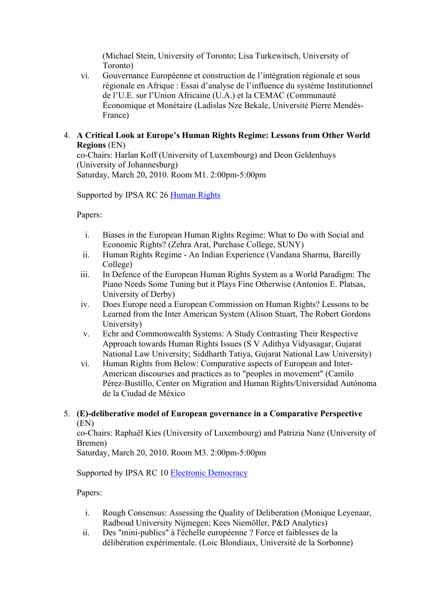(Michael Stein, University of Toronto; Lisa Turkewitsch, University of Toronto)

- vi. Gouvernance Européenne et construction de l'intégration régionale et sous régionale en Afrique : Essai d'analyse de l'influence du système Institutionnel de l'U.E. sur l'Union Africaine (U.A.) et la CEMAC (Communauté Économique et Monétaire (Ladislas Nze Bekale, Université Pierre Mendès-France)
- 4. **A Critical Look at Europe's Human Rights Regime: Lessons from Other World Regions** (EN)

co-Chairs: Harlan Koff (University of Luxembourg) and Deon Geldenhuys (University of Johannesburg) Saturday, March 20, 2010. Room M1. 2:00pm-5:00pm

Supported by IPSA RC 26 Human Rights

Papers:

- i. Biases in the European Human Rights Regime: What to Do with Social and Economic Rights? (Zehra Arat, Purchase College, SUNY)
- ii. Human Rights Regime An Indian Experience (Vandana Sharma, Bareilly College)
- iii. In Defence of the European Human Rights System as a World Paradigm: The Piano Needs Some Tuning but it Plays Fine Otherwise (Antonios E. Platsas, University of Derby)
- iv. Does Europe need a European Commission on Human Rights? Lessons to be Learned from the Inter American System (Alison Stuart, The Robert Gordons University)
- v. Echr and Commonwealth Systems: A Study Contrasting Their Respective Approach towards Human Rights Issues (S V Adithya Vidyasagar, Gujarat National Law University; Siddharth Tatiya, Gujarat National Law University)
- vi. Human Rights from Below: Comparative aspects of European and Inter-American discourses and practices as to "peoples in movement" (Camilo Pérez-Bustillo, Center on Migration and Human Rights/Universidad Autónoma de la Ciudad de México
- 5. **(E)-deliberative model of European governance in a Comparative Perspective** (EN)

co-Chairs: Raphaël Kies (University of Luxembourg) and Patrizia Nanz (University of Bremen)

Saturday, March 20, 2010. Room M3. 2:00pm-5:00pm

## Supported by IPSA RC 10 Electronic Democracy

- i. Rough Consensus: Assessing the Quality of Deliberation (Monique Leyenaar, Radboud University Nijmegen; Kees Niemöller, P&D Analytics)
- ii. Des "mini-publics" à l'échelle européenne ? Force et faiblesses de la délibération expérimentale. (Loic Blondiaux, Université de la Sorbonne)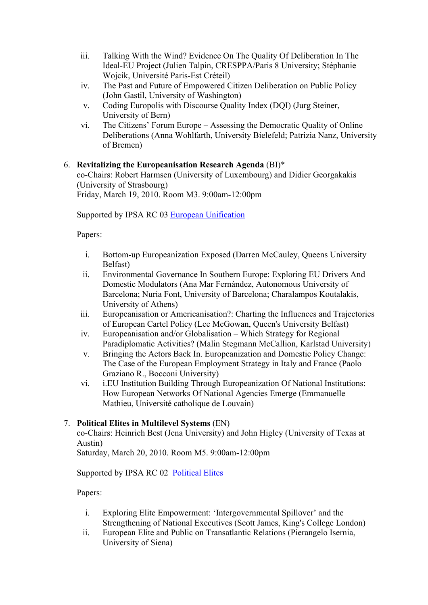- iii. Talking With the Wind? Evidence On The Quality Of Deliberation In The Ideal-EU Project (Julien Talpin, CRESPPA/Paris 8 University; Stéphanie Wojcik, Université Paris-Est Créteil)
- iv. The Past and Future of Empowered Citizen Deliberation on Public Policy (John Gastil, University of Washington)
- v. Coding Europolis with Discourse Quality Index (DQI) (Jurg Steiner, University of Bern)
- vi. The Citizens' Forum Europe Assessing the Democratic Quality of Online Deliberations (Anna Wohlfarth, University Bielefeld; Patrizia Nanz, University of Bremen)

## 6. **Revitalizing the Europeanisation Research Agenda** (BI)\*

co-Chairs: Robert Harmsen (University of Luxembourg) and Didier Georgakakis (University of Strasbourg) Friday, March 19, 2010. Room M3. 9:00am-12:00pm

Supported by IPSA RC 03 European Unification

Papers:

- i. Bottom-up Europeanization Exposed (Darren McCauley, Queens University Belfast)
- ii. Environmental Governance In Southern Europe: Exploring EU Drivers And Domestic Modulators (Ana Mar Fernández, Autonomous University of Barcelona; Nuria Font, University of Barcelona; Charalampos Koutalakis, University of Athens)
- iii. Europeanisation or Americanisation?: Charting the Influences and Trajectories of European Cartel Policy (Lee McGowan, Queen's University Belfast)
- iv. Europeanisation and/or Globalisation Which Strategy for Regional Paradiplomatic Activities? (Malin Stegmann McCallion, Karlstad University)
- v. Bringing the Actors Back In. Europeanization and Domestic Policy Change: The Case of the European Employment Strategy in Italy and France (Paolo Graziano R., Bocconi University)
- vi. i.EU Institution Building Through Europeanization Of National Institutions: How European Networks Of National Agencies Emerge (Emmanuelle Mathieu, Université catholique de Louvain)

## 7. **Political Elites in Multilevel Systems** (EN)

co-Chairs: Heinrich Best (Jena University) and John Higley (University of Texas at Austin)

Saturday, March 20, 2010. Room M5. 9:00am-12:00pm

Supported by IPSA RC 02 Political Elites

- i. Exploring Elite Empowerment: 'Intergovernmental Spillover' and the Strengthening of National Executives (Scott James, King's College London)
- ii. European Elite and Public on Transatlantic Relations (Pierangelo Isernia, University of Siena)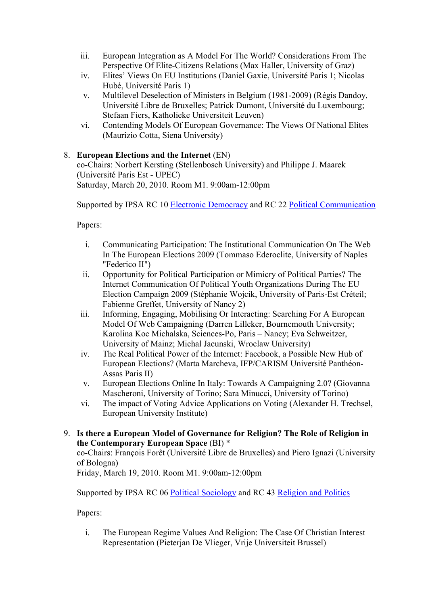- iii. European Integration as A Model For The World? Considerations From The Perspective Of Elite-Citizens Relations (Max Haller, University of Graz)
- iv. Elites' Views On EU Institutions (Daniel Gaxie, Université Paris 1; Nicolas Hubé, Université Paris 1)
- v. Multilevel Deselection of Ministers in Belgium (1981-2009) (Régis Dandoy, Université Libre de Bruxelles; Patrick Dumont, Université du Luxembourg; Stefaan Fiers, Katholieke Universiteit Leuven)
- vi. Contending Models Of European Governance: The Views Of National Elites (Maurizio Cotta, Siena University)

## 8. **European Elections and the Internet** (EN)

co-Chairs: Norbert Kersting (Stellenbosch University) and Philippe J. Maarek (Université Paris Est - UPEC) Saturday, March 20, 2010. Room M1. 9:00am-12:00pm

Supported by IPSA RC 10 Electronic Democracy and RC 22 Political Communication

Papers:

- i. Communicating Participation: The Institutional Communication On The Web In The European Elections 2009 (Tommaso Ederoclite, University of Naples "Federico II")
- ii. Opportunity for Political Participation or Mimicry of Political Parties? The Internet Communication Of Political Youth Organizations During The EU Election Campaign 2009 (Stéphanie Wojcik, University of Paris-Est Créteil; Fabienne Greffet, University of Nancy 2)
- iii. Informing, Engaging, Mobilising Or Interacting: Searching For A European Model Of Web Campaigning (Darren Lilleker, Bournemouth University; Karolina Koc Michalska, Sciences-Po, Paris – Nancy; Eva Schweitzer, University of Mainz; Michal Jacunski, Wroclaw University)
- iv. The Real Political Power of the Internet: Facebook, a Possible New Hub of European Elections? (Marta Marcheva, IFP/CARISM Université Panthéon-Assas Paris II)
- v. European Elections Online In Italy: Towards A Campaigning 2.0? (Giovanna Mascheroni, University of Torino; Sara Minucci, University of Torino)
- vi. The impact of Voting Advice Applications on Voting (Alexander H. Trechsel, European University Institute)
- 9. **Is there a European Model of Governance for Religion? The Role of Religion in the Contemporary European Space** (BI) \*

co-Chairs: François Forêt (Université Libre de Bruxelles) and Piero Ignazi (University of Bologna)

Friday, March 19, 2010. Room M1. 9:00am-12:00pm

Supported by IPSA RC 06 Political Sociology and RC 43 Religion and Politics

Papers:

i. The European Regime Values And Religion: The Case Of Christian Interest Representation (Pieterjan De Vlieger, Vrije Universiteit Brussel)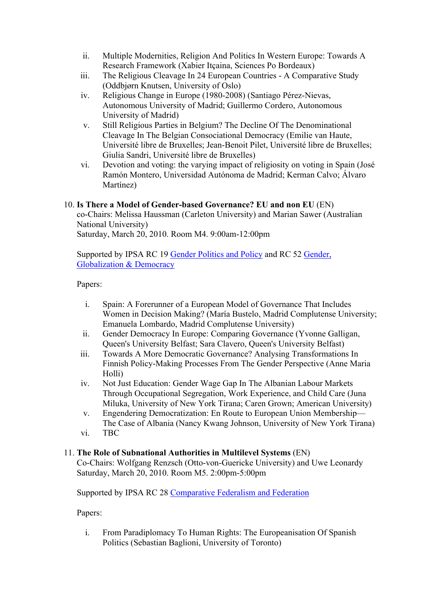- ii. Multiple Modernities, Religion And Politics In Western Europe: Towards A Research Framework (Xabier Itçaina, Sciences Po Bordeaux)
- iii. The Religious Cleavage In 24 European Countries A Comparative Study (Oddbjørn Knutsen, University of Oslo)
- iv. Religious Change in Europe (1980-2008) (Santiago Pérez-Nievas, Autonomous University of Madrid; Guillermo Cordero, Autonomous University of Madrid)
- v. Still Religious Parties in Belgium? The Decline Of The Denominational Cleavage In The Belgian Consociational Democracy (Emilie van Haute, Université libre de Bruxelles; Jean-Benoit Pilet, Université libre de Bruxelles; Giulia Sandri, Université libre de Bruxelles)
- vi. Devotion and voting: the varying impact of religiosity on voting in Spain (José Ramón Montero, Universidad Autónoma de Madrid; Kerman Calvo; Álvaro Martínez)

## 10. **Is There a Model of Gender-based Governance? EU and non EU** (EN)

co-Chairs: Melissa Haussman (Carleton University) and Marian Sawer (Australian National University)

Saturday, March 20, 2010. Room M4. 9:00am-12:00pm

Supported by IPSA RC 19 Gender Politics and Policy and RC 52 Gender, Globalization & Democracy

Papers:

- i. Spain: A Forerunner of a European Model of Governance That Includes Women in Decision Making? (María Bustelo, Madrid Complutense University; Emanuela Lombardo, Madrid Complutense University)
- ii. Gender Democracy In Europe: Comparing Governance (Yvonne Galligan, Queen's University Belfast; Sara Clavero, Queen's University Belfast)
- iii. Towards A More Democratic Governance? Analysing Transformations In Finnish Policy-Making Processes From The Gender Perspective (Anne Maria Holli)
- iv. Not Just Education: Gender Wage Gap In The Albanian Labour Markets Through Occupational Segregation, Work Experience, and Child Care (Juna Miluka, University of New York Tirana; Caren Grown; American University)
- v. Engendering Democratization: En Route to European Union Membership— The Case of Albania (Nancy Kwang Johnson, University of New York Tirana)
- vi. TBC

## 11. **The Role of Subnational Authorities in Multilevel Systems** (EN)

Co-Chairs: Wolfgang Renzsch (Otto-von-Guericke University) and Uwe Leonardy Saturday, March 20, 2010. Room M5. 2:00pm-5:00pm

Supported by IPSA RC 28 Comparative Federalism and Federation

Papers:

i. From Paradiplomacy To Human Rights: The Europeanisation Of Spanish Politics (Sebastian Baglioni, University of Toronto)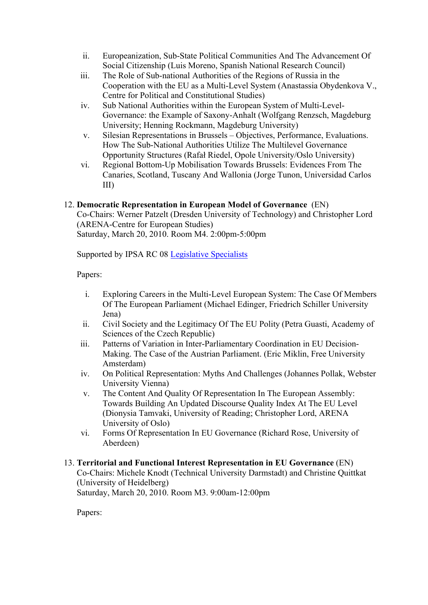- ii. Europeanization, Sub-State Political Communities And The Advancement Of Social Citizenship (Luis Moreno, Spanish National Research Council)
- iii. The Role of Sub-national Authorities of the Regions of Russia in the Cooperation with the EU as a Multi-Level System (Anastassia Obydenkova V., Centre for Political and Constitutional Studies)
- iv. Sub National Authorities within the European System of Multi-Level-Governance: the Example of Saxony-Anhalt (Wolfgang Renzsch, Magdeburg University; Henning Rockmann, Magdeburg University)
- v. Silesian Representations in Brussels Objectives, Performance, Evaluations. How The Sub-National Authorities Utilize The Multilevel Governance Opportunity Structures (Rafał Riedel, Opole University/Oslo University)
- vi. Regional Bottom-Up Mobilisation Towards Brussels: Evidences From The Canaries, Scotland, Tuscany And Wallonia (Jorge Tunon, Universidad Carlos III)

## 12. **Democratic Representation in European Model of Governance** (EN) Co-Chairs: Werner Patzelt (Dresden University of Technology) and Christopher Lord

(ARENA-Centre for European Studies) Saturday, March 20, 2010. Room M4. 2:00pm-5:00pm

Supported by IPSA RC 08 Legislative Specialists

Papers:

- i. Exploring Careers in the Multi-Level European System: The Case Of Members Of The European Parliament (Michael Edinger, Friedrich Schiller University Jena)
- ii. Civil Society and the Legitimacy Of The EU Polity (Petra Guasti, Academy of Sciences of the Czech Republic)
- iii. Patterns of Variation in Inter-Parliamentary Coordination in EU Decision-Making. The Case of the Austrian Parliament. (Eric Miklin, Free University Amsterdam)
- iv. On Political Representation: Myths And Challenges (Johannes Pollak, Webster University Vienna)
- v. The Content And Quality Of Representation In The European Assembly: Towards Building An Updated Discourse Quality Index At The EU Level (Dionysia Tamvaki, University of Reading; Christopher Lord, ARENA University of Oslo)
- vi. Forms Of Representation In EU Governance (Richard Rose, University of Aberdeen)
- 13. **Territorial and Functional Interest Representation in EU Governance** (EN) Co-Chairs: Michele Knodt (Technical University Darmstadt) and Christine Quittkat (University of Heidelberg) Saturday, March 20, 2010. Room M3. 9:00am-12:00pm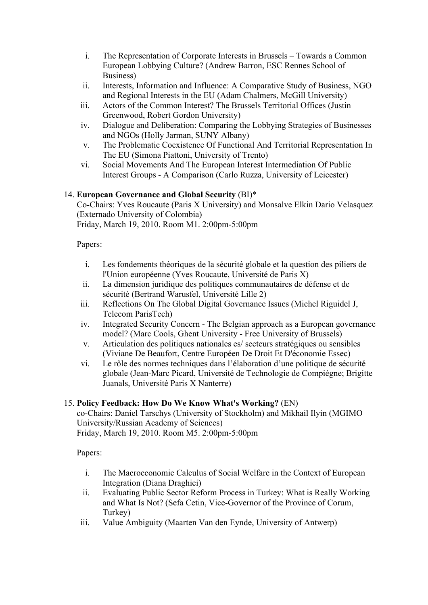- i. The Representation of Corporate Interests in Brussels Towards a Common European Lobbying Culture? (Andrew Barron, ESC Rennes School of Business)
- ii. Interests, Information and Influence: A Comparative Study of Business, NGO and Regional Interests in the EU (Adam Chalmers, McGill University)
- iii. Actors of the Common Interest? The Brussels Territorial Offices (Justin Greenwood, Robert Gordon University)
- iv. Dialogue and Deliberation: Comparing the Lobbying Strategies of Businesses and NGOs (Holly Jarman, SUNY Albany)
- v. The Problematic Coexistence Of Functional And Territorial Representation In The EU (Simona Piattoni, University of Trento)
- vi. Social Movements And The European Interest Intermediation Of Public Interest Groups - A Comparison (Carlo Ruzza, University of Leicester)

## 14. **European Governance and Global Security** (BI)\*

Co-Chairs: Yves Roucaute (Paris X University) and Monsalve Elkin Dario Velasquez (Externado University of Colombia) Friday, March 19, 2010. Room M1. 2:00pm-5:00pm

Papers:

- i. Les fondements théoriques de la sécurité globale et la question des piliers de l'Union européenne (Yves Roucaute, Université de Paris X)
- ii. La dimension juridique des politiques communautaires de défense et de sécurité (Bertrand Warusfel, Université Lille 2)
- iii. Reflections On The Global Digital Governance Issues (Michel Riguidel J, Telecom ParisTech)
- iv. Integrated Security Concern The Belgian approach as a European governance model? (Marc Cools, Ghent University - Free University of Brussels)
- v. Articulation des politiques nationales es/ secteurs stratégiques ou sensibles (Viviane De Beaufort, Centre Européen De Droit Et D'économie Essec)
- vi. Le rôle des normes techniques dans l'élaboration d'une politique de sécurité globale (Jean-Marc Picard, Université de Technologie de Compiègne; Brigitte Juanals, Université Paris X Nanterre)

## 15. **Policy Feedback: How Do We Know What's Working?** (EN)

co-Chairs: Daniel Tarschys (University of Stockholm) and Mikhail Ilyin (MGIMO University/Russian Academy of Sciences) Friday, March 19, 2010. Room M5. 2:00pm-5:00pm

- i. The Macroeconomic Calculus of Social Welfare in the Context of European Integration (Diana Draghici)
- ii. Evaluating Public Sector Reform Process in Turkey: What is Really Working and What Is Not? (Sefa Cetin, Vice-Governor of the Province of Corum, Turkey)
- iii. Value Ambiguity (Maarten Van den Eynde, University of Antwerp)